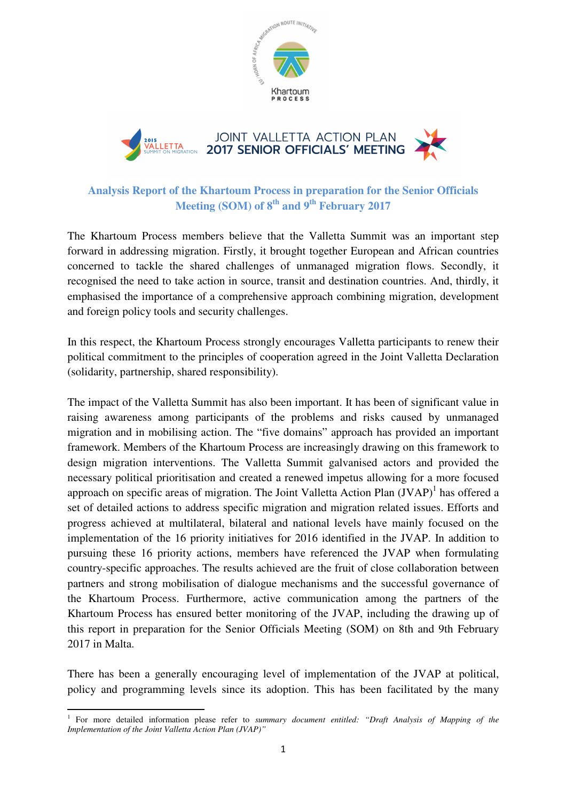

# **Analysis Report of the Khartoum Process in preparation for the Senior Officials Meeting (SOM) of 8th and 9th February 2017**

The Khartoum Process members believe that the Valletta Summit was an important step forward in addressing migration. Firstly, it brought together European and African countries concerned to tackle the shared challenges of unmanaged migration flows. Secondly, it recognised the need to take action in source, transit and destination countries. And, thirdly, it emphasised the importance of a comprehensive approach combining migration, development and foreign policy tools and security challenges.

In this respect, the Khartoum Process strongly encourages Valletta participants to renew their political commitment to the principles of cooperation agreed in the Joint Valletta Declaration (solidarity, partnership, shared responsibility).

The impact of the Valletta Summit has also been important. It has been of significant value in raising awareness among participants of the problems and risks caused by unmanaged migration and in mobilising action. The "five domains" approach has provided an important framework. Members of the Khartoum Process are increasingly drawing on this framework to design migration interventions. The Valletta Summit galvanised actors and provided the necessary political prioritisation and created a renewed impetus allowing for a more focused approach on specific areas of migration. The Joint Valletta Action Plan  $(JVAP)^1$  has offered a set of detailed actions to address specific migration and migration related issues. Efforts and progress achieved at multilateral, bilateral and national levels have mainly focused on the implementation of the 16 priority initiatives for 2016 identified in the JVAP. In addition to pursuing these 16 priority actions, members have referenced the JVAP when formulating country-specific approaches. The results achieved are the fruit of close collaboration between partners and strong mobilisation of dialogue mechanisms and the successful governance of the Khartoum Process. Furthermore, active communication among the partners of the Khartoum Process has ensured better monitoring of the JVAP, including the drawing up of this report in preparation for the Senior Officials Meeting (SOM) on 8th and 9th February 2017 in Malta.

There has been a generally encouraging level of implementation of the JVAP at political, policy and programming levels since its adoption. This has been facilitated by the many

l

<sup>&</sup>lt;sup>1</sup> For more detailed information please refer to *summary document entitled: "Draft Analysis of Mapping of the Implementation of the Joint Valletta Action Plan (JVAP)"*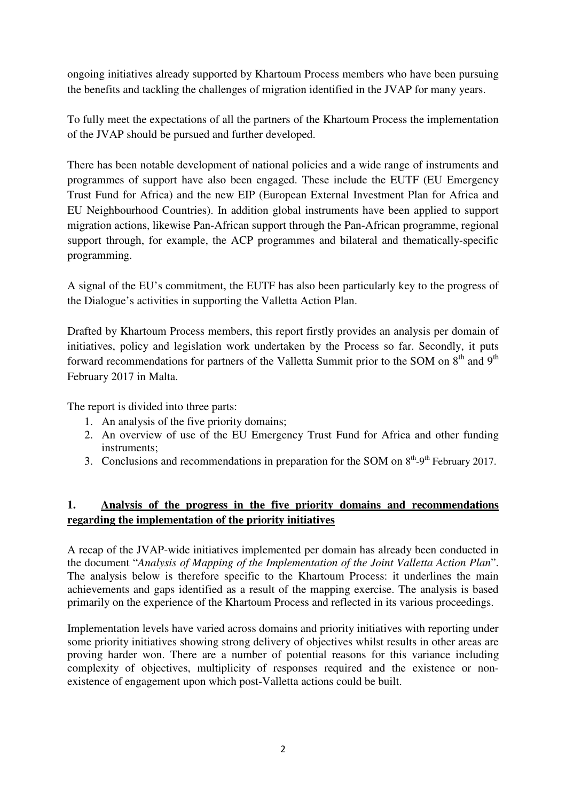ongoing initiatives already supported by Khartoum Process members who have been pursuing the benefits and tackling the challenges of migration identified in the JVAP for many years.

To fully meet the expectations of all the partners of the Khartoum Process the implementation of the JVAP should be pursued and further developed.

There has been notable development of national policies and a wide range of instruments and programmes of support have also been engaged. These include the EUTF (EU Emergency Trust Fund for Africa) and the new EIP (European External Investment Plan for Africa and EU Neighbourhood Countries). In addition global instruments have been applied to support migration actions, likewise Pan-African support through the Pan-African programme, regional support through, for example, the ACP programmes and bilateral and thematically-specific programming.

A signal of the EU's commitment, the EUTF has also been particularly key to the progress of the Dialogue's activities in supporting the Valletta Action Plan.

Drafted by Khartoum Process members, this report firstly provides an analysis per domain of initiatives, policy and legislation work undertaken by the Process so far. Secondly, it puts forward recommendations for partners of the Valletta Summit prior to the SOM on  $8<sup>th</sup>$  and  $9<sup>th</sup>$ February 2017 in Malta.

The report is divided into three parts:

- 1. An analysis of the five priority domains;
- 2. An overview of use of the EU Emergency Trust Fund for Africa and other funding instruments;
- 3. Conclusions and recommendations in preparation for the SOM on  $8<sup>th</sup>-9<sup>th</sup>$  February 2017.

### **1. Analysis of the progress in the five priority domains and recommendations regarding the implementation of the priority initiatives**

A recap of the JVAP-wide initiatives implemented per domain has already been conducted in the document "*Analysis of Mapping of the Implementation of the Joint Valletta Action Plan*". The analysis below is therefore specific to the Khartoum Process: it underlines the main achievements and gaps identified as a result of the mapping exercise. The analysis is based primarily on the experience of the Khartoum Process and reflected in its various proceedings.

Implementation levels have varied across domains and priority initiatives with reporting under some priority initiatives showing strong delivery of objectives whilst results in other areas are proving harder won. There are a number of potential reasons for this variance including complexity of objectives, multiplicity of responses required and the existence or nonexistence of engagement upon which post-Valletta actions could be built.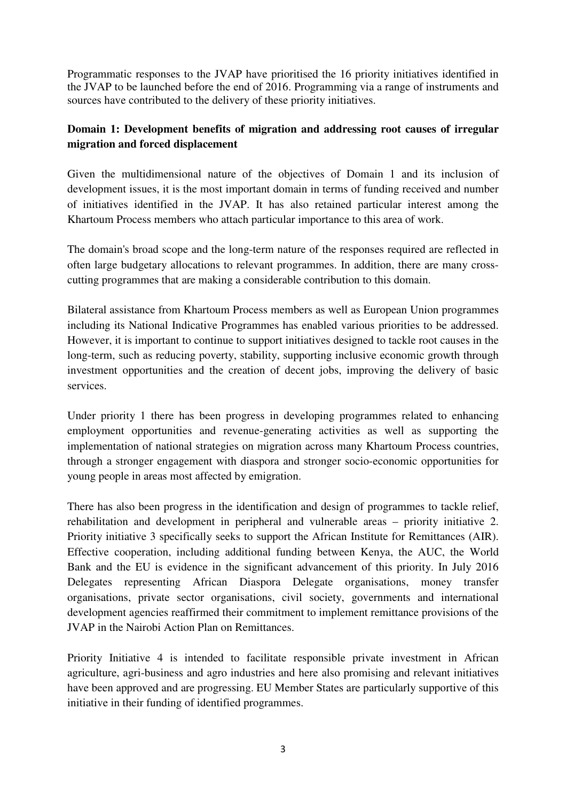Programmatic responses to the JVAP have prioritised the 16 priority initiatives identified in the JVAP to be launched before the end of 2016. Programming via a range of instruments and sources have contributed to the delivery of these priority initiatives.

### **Domain 1: Development benefits of migration and addressing root causes of irregular migration and forced displacement**

Given the multidimensional nature of the objectives of Domain 1 and its inclusion of development issues, it is the most important domain in terms of funding received and number of initiatives identified in the JVAP. It has also retained particular interest among the Khartoum Process members who attach particular importance to this area of work.

The domain's broad scope and the long-term nature of the responses required are reflected in often large budgetary allocations to relevant programmes. In addition, there are many crosscutting programmes that are making a considerable contribution to this domain.

Bilateral assistance from Khartoum Process members as well as European Union programmes including its National Indicative Programmes has enabled various priorities to be addressed. However, it is important to continue to support initiatives designed to tackle root causes in the long-term, such as reducing poverty, stability, supporting inclusive economic growth through investment opportunities and the creation of decent jobs, improving the delivery of basic services.

Under priority 1 there has been progress in developing programmes related to enhancing employment opportunities and revenue-generating activities as well as supporting the implementation of national strategies on migration across many Khartoum Process countries, through a stronger engagement with diaspora and stronger socio-economic opportunities for young people in areas most affected by emigration.

There has also been progress in the identification and design of programmes to tackle relief, rehabilitation and development in peripheral and vulnerable areas – priority initiative 2. Priority initiative 3 specifically seeks to support the African Institute for Remittances (AIR). Effective cooperation, including additional funding between Kenya, the AUC, the World Bank and the EU is evidence in the significant advancement of this priority. In July 2016 Delegates representing African Diaspora Delegate organisations, money transfer organisations, private sector organisations, civil society, governments and international development agencies reaffirmed their commitment to implement remittance provisions of the JVAP in the Nairobi Action Plan on Remittances.

Priority Initiative 4 is intended to facilitate responsible private investment in African agriculture, agri-business and agro industries and here also promising and relevant initiatives have been approved and are progressing. EU Member States are particularly supportive of this initiative in their funding of identified programmes.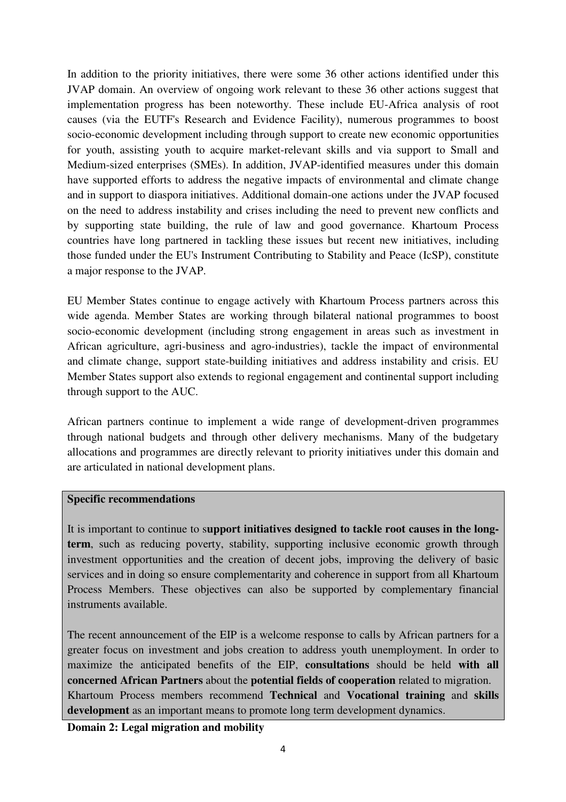In addition to the priority initiatives, there were some 36 other actions identified under this JVAP domain. An overview of ongoing work relevant to these 36 other actions suggest that implementation progress has been noteworthy. These include EU-Africa analysis of root causes (via the EUTF's Research and Evidence Facility), numerous programmes to boost socio-economic development including through support to create new economic opportunities for youth, assisting youth to acquire market-relevant skills and via support to Small and Medium-sized enterprises (SMEs). In addition, JVAP-identified measures under this domain have supported efforts to address the negative impacts of environmental and climate change and in support to diaspora initiatives. Additional domain-one actions under the JVAP focused on the need to address instability and crises including the need to prevent new conflicts and by supporting state building, the rule of law and good governance. Khartoum Process countries have long partnered in tackling these issues but recent new initiatives, including those funded under the EU's Instrument Contributing to Stability and Peace (IcSP), constitute a major response to the JVAP.

EU Member States continue to engage actively with Khartoum Process partners across this wide agenda. Member States are working through bilateral national programmes to boost socio-economic development (including strong engagement in areas such as investment in African agriculture, agri-business and agro-industries), tackle the impact of environmental and climate change, support state-building initiatives and address instability and crisis. EU Member States support also extends to regional engagement and continental support including through support to the AUC.

African partners continue to implement a wide range of development-driven programmes through national budgets and through other delivery mechanisms. Many of the budgetary allocations and programmes are directly relevant to priority initiatives under this domain and are articulated in national development plans.

### **Specific recommendations**

It is important to continue to s**upport initiatives designed to tackle root causes in the longterm**, such as reducing poverty, stability, supporting inclusive economic growth through investment opportunities and the creation of decent jobs, improving the delivery of basic services and in doing so ensure complementarity and coherence in support from all Khartoum Process Members. These objectives can also be supported by complementary financial instruments available.

The recent announcement of the EIP is a welcome response to calls by African partners for a greater focus on investment and jobs creation to address youth unemployment. In order to maximize the anticipated benefits of the EIP, **consultations** should be held **with all concerned African Partners** about the **potential fields of cooperation** related to migration. Khartoum Process members recommend **Technical** and **Vocational training** and **skills development** as an important means to promote long term development dynamics.

**Domain 2: Legal migration and mobility**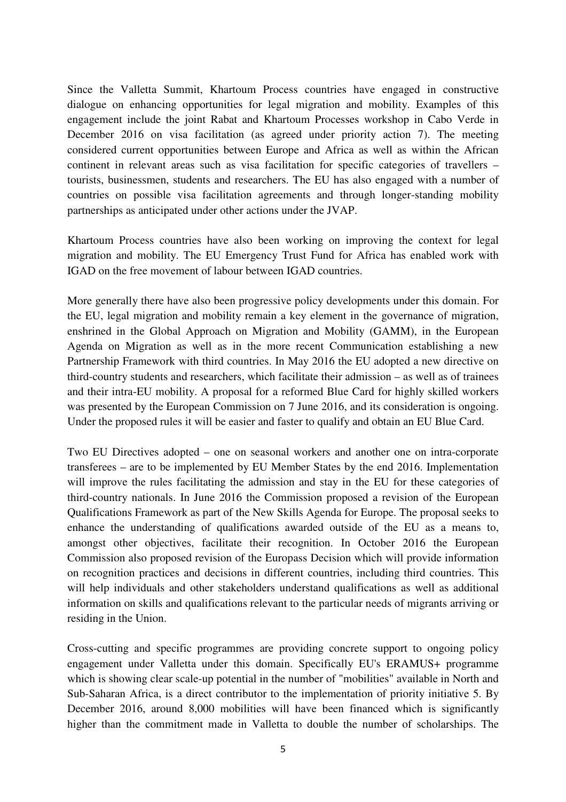Since the Valletta Summit, Khartoum Process countries have engaged in constructive dialogue on enhancing opportunities for legal migration and mobility. Examples of this engagement include the joint Rabat and Khartoum Processes workshop in Cabo Verde in December 2016 on visa facilitation (as agreed under priority action 7). The meeting considered current opportunities between Europe and Africa as well as within the African continent in relevant areas such as visa facilitation for specific categories of travellers – tourists, businessmen, students and researchers. The EU has also engaged with a number of countries on possible visa facilitation agreements and through longer-standing mobility partnerships as anticipated under other actions under the JVAP.

Khartoum Process countries have also been working on improving the context for legal migration and mobility. The EU Emergency Trust Fund for Africa has enabled work with IGAD on the free movement of labour between IGAD countries.

More generally there have also been progressive policy developments under this domain. For the EU, legal migration and mobility remain a key element in the governance of migration, enshrined in the Global Approach on Migration and Mobility (GAMM), in the European Agenda on Migration as well as in the more recent Communication establishing a new Partnership Framework with third countries. In May 2016 the EU adopted a new directive on third-country students and researchers, which facilitate their admission – as well as of trainees and their intra-EU mobility. A proposal for a reformed Blue Card for highly skilled workers was presented by the European Commission on 7 June 2016, and its consideration is ongoing. Under the proposed rules it will be easier and faster to qualify and obtain an EU Blue Card.

Two EU Directives adopted – one on seasonal workers and another one on intra-corporate transferees – are to be implemented by EU Member States by the end 2016. Implementation will improve the rules facilitating the admission and stay in the EU for these categories of third-country nationals. In June 2016 the Commission proposed a revision of the European Qualifications Framework as part of the New Skills Agenda for Europe. The proposal seeks to enhance the understanding of qualifications awarded outside of the EU as a means to, amongst other objectives, facilitate their recognition. In October 2016 the European Commission also proposed revision of the Europass Decision which will provide information on recognition practices and decisions in different countries, including third countries. This will help individuals and other stakeholders understand qualifications as well as additional information on skills and qualifications relevant to the particular needs of migrants arriving or residing in the Union.

Cross-cutting and specific programmes are providing concrete support to ongoing policy engagement under Valletta under this domain. Specifically EU's ERAMUS+ programme which is showing clear scale-up potential in the number of "mobilities" available in North and Sub-Saharan Africa, is a direct contributor to the implementation of priority initiative 5. By December 2016, around 8,000 mobilities will have been financed which is significantly higher than the commitment made in Valletta to double the number of scholarships. The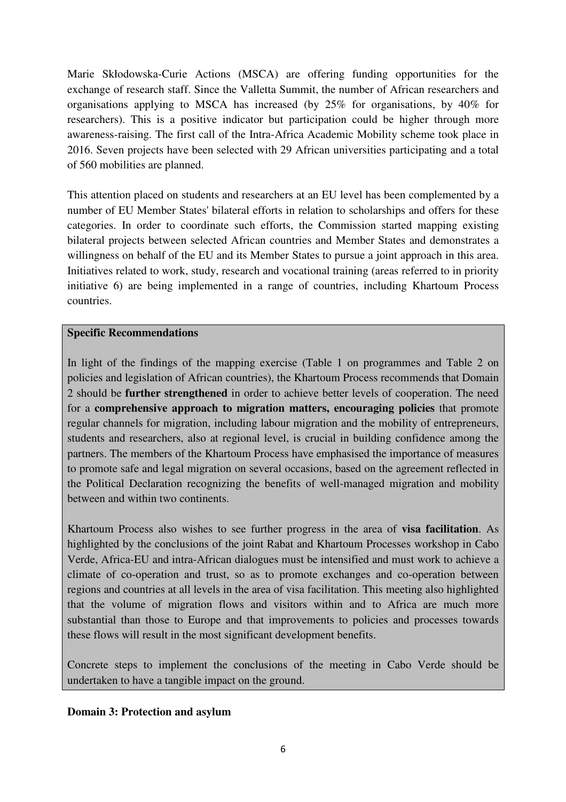Marie Skłodowska-Curie Actions (MSCA) are offering funding opportunities for the exchange of research staff. Since the Valletta Summit, the number of African researchers and organisations applying to MSCA has increased (by 25% for organisations, by 40% for researchers). This is a positive indicator but participation could be higher through more awareness-raising. The first call of the Intra-Africa Academic Mobility scheme took place in 2016. Seven projects have been selected with 29 African universities participating and a total of 560 mobilities are planned.

This attention placed on students and researchers at an EU level has been complemented by a number of EU Member States' bilateral efforts in relation to scholarships and offers for these categories. In order to coordinate such efforts, the Commission started mapping existing bilateral projects between selected African countries and Member States and demonstrates a willingness on behalf of the EU and its Member States to pursue a joint approach in this area. Initiatives related to work, study, research and vocational training (areas referred to in priority initiative 6) are being implemented in a range of countries, including Khartoum Process countries.

### **Specific Recommendations**

In light of the findings of the mapping exercise (Table 1 on programmes and Table 2 on policies and legislation of African countries), the Khartoum Process recommends that Domain 2 should be **further strengthened** in order to achieve better levels of cooperation. The need for a **comprehensive approach to migration matters, encouraging policies** that promote regular channels for migration, including labour migration and the mobility of entrepreneurs, students and researchers, also at regional level, is crucial in building confidence among the partners. The members of the Khartoum Process have emphasised the importance of measures to promote safe and legal migration on several occasions, based on the agreement reflected in the Political Declaration recognizing the benefits of well-managed migration and mobility between and within two continents.

Khartoum Process also wishes to see further progress in the area of **visa facilitation**. As highlighted by the conclusions of the joint Rabat and Khartoum Processes workshop in Cabo Verde, Africa-EU and intra-African dialogues must be intensified and must work to achieve a climate of co-operation and trust, so as to promote exchanges and co-operation between regions and countries at all levels in the area of visa facilitation. This meeting also highlighted that the volume of migration flows and visitors within and to Africa are much more substantial than those to Europe and that improvements to policies and processes towards these flows will result in the most significant development benefits.

Concrete steps to implement the conclusions of the meeting in Cabo Verde should be undertaken to have a tangible impact on the ground.

### **Domain 3: Protection and asylum**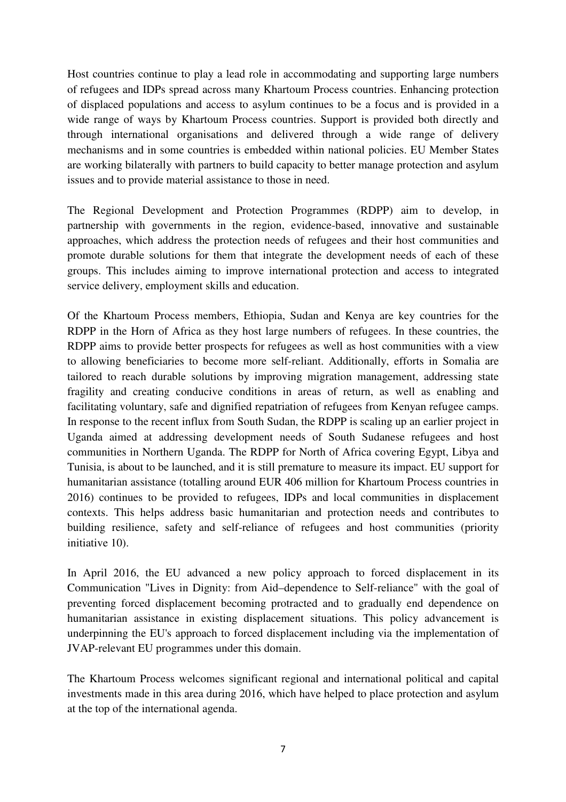Host countries continue to play a lead role in accommodating and supporting large numbers of refugees and IDPs spread across many Khartoum Process countries. Enhancing protection of displaced populations and access to asylum continues to be a focus and is provided in a wide range of ways by Khartoum Process countries. Support is provided both directly and through international organisations and delivered through a wide range of delivery mechanisms and in some countries is embedded within national policies. EU Member States are working bilaterally with partners to build capacity to better manage protection and asylum issues and to provide material assistance to those in need.

The Regional Development and Protection Programmes (RDPP) aim to develop, in partnership with governments in the region, evidence-based, innovative and sustainable approaches, which address the protection needs of refugees and their host communities and promote durable solutions for them that integrate the development needs of each of these groups. This includes aiming to improve international protection and access to integrated service delivery, employment skills and education.

Of the Khartoum Process members, Ethiopia, Sudan and Kenya are key countries for the RDPP in the Horn of Africa as they host large numbers of refugees. In these countries, the RDPP aims to provide better prospects for refugees as well as host communities with a view to allowing beneficiaries to become more self-reliant. Additionally, efforts in Somalia are tailored to reach durable solutions by improving migration management, addressing state fragility and creating conducive conditions in areas of return, as well as enabling and facilitating voluntary, safe and dignified repatriation of refugees from Kenyan refugee camps. In response to the recent influx from South Sudan, the RDPP is scaling up an earlier project in Uganda aimed at addressing development needs of South Sudanese refugees and host communities in Northern Uganda. The RDPP for North of Africa covering Egypt, Libya and Tunisia, is about to be launched, and it is still premature to measure its impact. EU support for humanitarian assistance (totalling around EUR 406 million for Khartoum Process countries in 2016) continues to be provided to refugees, IDPs and local communities in displacement contexts. This helps address basic humanitarian and protection needs and contributes to building resilience, safety and self-reliance of refugees and host communities (priority initiative 10).

In April 2016, the EU advanced a new policy approach to forced displacement in its Communication "Lives in Dignity: from Aid–dependence to Self-reliance" with the goal of preventing forced displacement becoming protracted and to gradually end dependence on humanitarian assistance in existing displacement situations. This policy advancement is underpinning the EU's approach to forced displacement including via the implementation of JVAP-relevant EU programmes under this domain.

The Khartoum Process welcomes significant regional and international political and capital investments made in this area during 2016, which have helped to place protection and asylum at the top of the international agenda.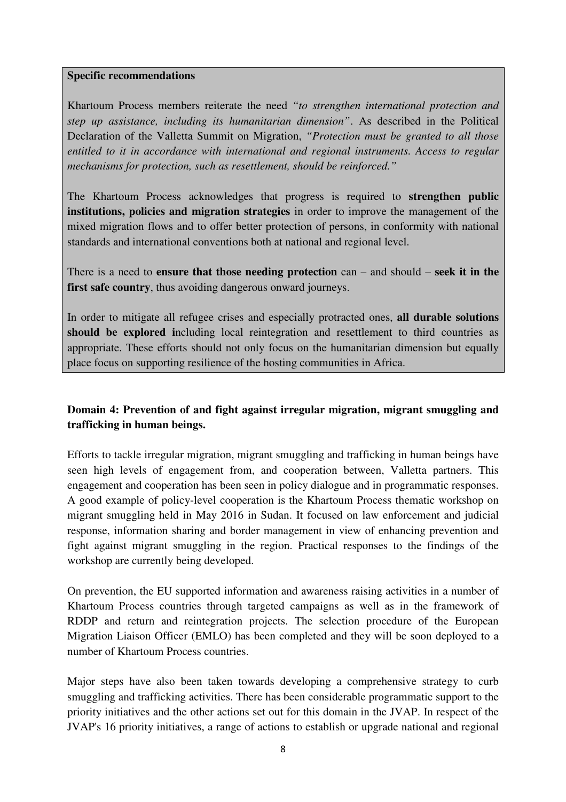#### **Specific recommendations**

Khartoum Process members reiterate the need *"to strengthen international protection and step up assistance, including its humanitarian dimension"*. As described in the Political Declaration of the Valletta Summit on Migration, *"Protection must be granted to all those entitled to it in accordance with international and regional instruments. Access to regular mechanisms for protection, such as resettlement, should be reinforced."* 

The Khartoum Process acknowledges that progress is required to **strengthen public institutions, policies and migration strategies** in order to improve the management of the mixed migration flows and to offer better protection of persons, in conformity with national standards and international conventions both at national and regional level.

There is a need to **ensure that those needing protection** can – and should – **seek it in the first safe country**, thus avoiding dangerous onward journeys.

In order to mitigate all refugee crises and especially protracted ones, **all durable solutions should be explored i**ncluding local reintegration and resettlement to third countries as appropriate. These efforts should not only focus on the humanitarian dimension but equally place focus on supporting resilience of the hosting communities in Africa.

### **Domain 4: Prevention of and fight against irregular migration, migrant smuggling and trafficking in human beings.**

Efforts to tackle irregular migration, migrant smuggling and trafficking in human beings have seen high levels of engagement from, and cooperation between, Valletta partners. This engagement and cooperation has been seen in policy dialogue and in programmatic responses. A good example of policy-level cooperation is the Khartoum Process thematic workshop on migrant smuggling held in May 2016 in Sudan. It focused on law enforcement and judicial response, information sharing and border management in view of enhancing prevention and fight against migrant smuggling in the region. Practical responses to the findings of the workshop are currently being developed.

On prevention, the EU supported information and awareness raising activities in a number of Khartoum Process countries through targeted campaigns as well as in the framework of RDDP and return and reintegration projects. The selection procedure of the European Migration Liaison Officer (EMLO) has been completed and they will be soon deployed to a number of Khartoum Process countries.

Major steps have also been taken towards developing a comprehensive strategy to curb smuggling and trafficking activities. There has been considerable programmatic support to the priority initiatives and the other actions set out for this domain in the JVAP. In respect of the JVAP's 16 priority initiatives, a range of actions to establish or upgrade national and regional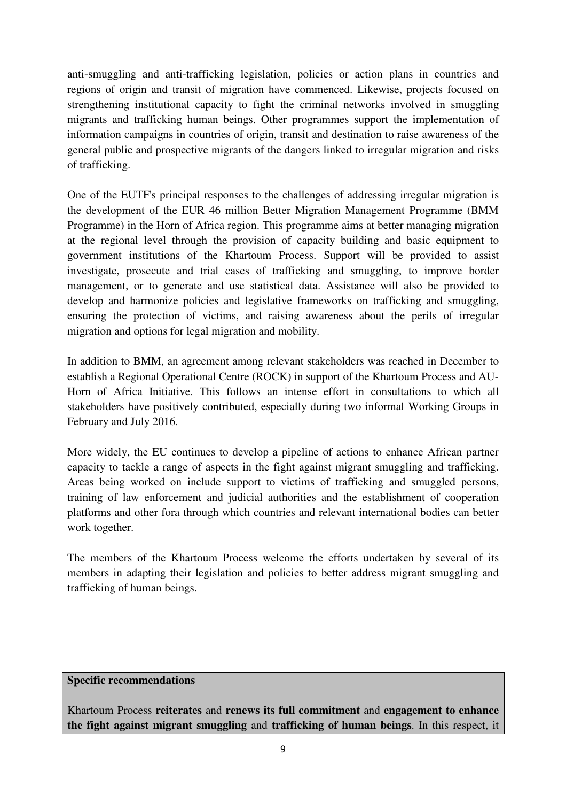anti-smuggling and anti-trafficking legislation, policies or action plans in countries and regions of origin and transit of migration have commenced. Likewise, projects focused on strengthening institutional capacity to fight the criminal networks involved in smuggling migrants and trafficking human beings. Other programmes support the implementation of information campaigns in countries of origin, transit and destination to raise awareness of the general public and prospective migrants of the dangers linked to irregular migration and risks of trafficking.

One of the EUTF's principal responses to the challenges of addressing irregular migration is the development of the EUR 46 million Better Migration Management Programme (BMM Programme) in the Horn of Africa region. This programme aims at better managing migration at the regional level through the provision of capacity building and basic equipment to government institutions of the Khartoum Process. Support will be provided to assist investigate, prosecute and trial cases of trafficking and smuggling, to improve border management, or to generate and use statistical data. Assistance will also be provided to develop and harmonize policies and legislative frameworks on trafficking and smuggling, ensuring the protection of victims, and raising awareness about the perils of irregular migration and options for legal migration and mobility.

In addition to BMM, an agreement among relevant stakeholders was reached in December to establish a Regional Operational Centre (ROCK) in support of the Khartoum Process and AU-Horn of Africa Initiative. This follows an intense effort in consultations to which all stakeholders have positively contributed, especially during two informal Working Groups in February and July 2016.

More widely, the EU continues to develop a pipeline of actions to enhance African partner capacity to tackle a range of aspects in the fight against migrant smuggling and trafficking. Areas being worked on include support to victims of trafficking and smuggled persons, training of law enforcement and judicial authorities and the establishment of cooperation platforms and other fora through which countries and relevant international bodies can better work together.

The members of the Khartoum Process welcome the efforts undertaken by several of its members in adapting their legislation and policies to better address migrant smuggling and trafficking of human beings.

### **Specific recommendations**

Khartoum Process **reiterates** and **renews its full commitment** and **engagement to enhance the fight against migrant smuggling** and **trafficking of human beings**. In this respect, it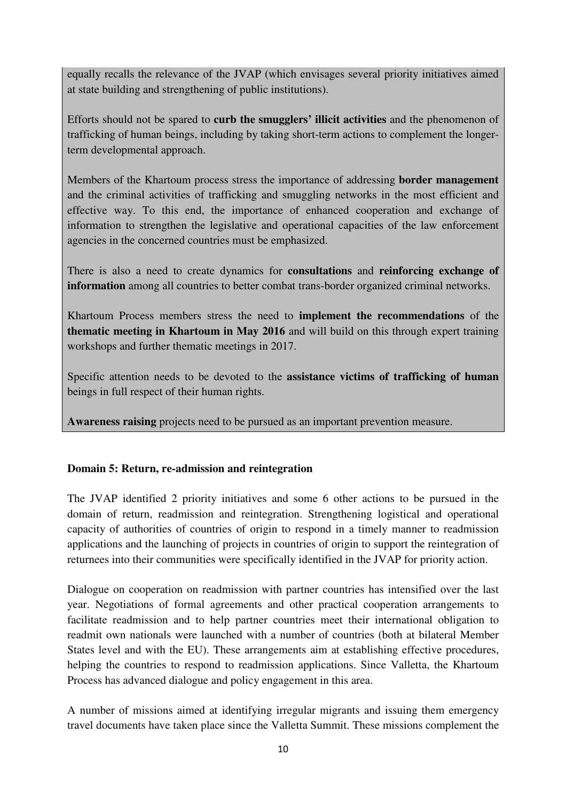equally recalls the relevance of the JVAP (which envisages several priority initiatives aimed at state building and strengthening of public institutions).

Efforts should not be spared to **curb the smugglers' illicit activities** and the phenomenon of trafficking of human beings, including by taking short-term actions to complement the longerterm developmental approach.

Members of the Khartoum process stress the importance of addressing **border management** and the criminal activities of trafficking and smuggling networks in the most efficient and effective way. To this end, the importance of enhanced cooperation and exchange of information to strengthen the legislative and operational capacities of the law enforcement agencies in the concerned countries must be emphasized.

There is also a need to create dynamics for **consultations** and **reinforcing exchange of information** among all countries to better combat trans-border organized criminal networks.

Khartoum Process members stress the need to **implement the recommendations** of the **thematic meeting in Khartoum in May 2016** and will build on this through expert training workshops and further thematic meetings in 2017.

Specific attention needs to be devoted to the **assistance victims of trafficking of human**  beings in full respect of their human rights.

**Awareness raising** projects need to be pursued as an important prevention measure.

### **Domain 5: Return, re-admission and reintegration**

The JVAP identified 2 priority initiatives and some 6 other actions to be pursued in the domain of return, readmission and reintegration. Strengthening logistical and operational capacity of authorities of countries of origin to respond in a timely manner to readmission applications and the launching of projects in countries of origin to support the reintegration of returnees into their communities were specifically identified in the JVAP for priority action.

Dialogue on cooperation on readmission with partner countries has intensified over the last year. Negotiations of formal agreements and other practical cooperation arrangements to facilitate readmission and to help partner countries meet their international obligation to readmit own nationals were launched with a number of countries (both at bilateral Member States level and with the EU). These arrangements aim at establishing effective procedures, helping the countries to respond to readmission applications. Since Valletta, the Khartoum Process has advanced dialogue and policy engagement in this area.

A number of missions aimed at identifying irregular migrants and issuing them emergency travel documents have taken place since the Valletta Summit. These missions complement the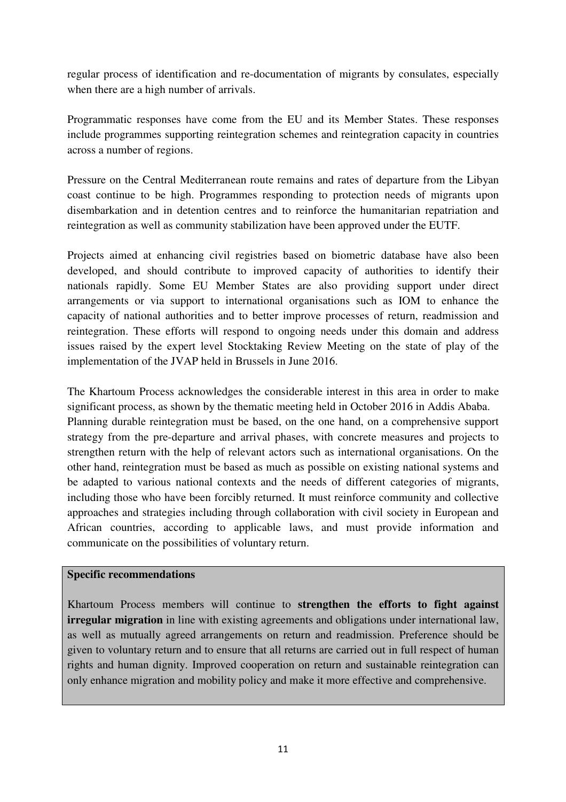regular process of identification and re-documentation of migrants by consulates, especially when there are a high number of arrivals.

Programmatic responses have come from the EU and its Member States. These responses include programmes supporting reintegration schemes and reintegration capacity in countries across a number of regions.

Pressure on the Central Mediterranean route remains and rates of departure from the Libyan coast continue to be high. Programmes responding to protection needs of migrants upon disembarkation and in detention centres and to reinforce the humanitarian repatriation and reintegration as well as community stabilization have been approved under the EUTF.

Projects aimed at enhancing civil registries based on biometric database have also been developed, and should contribute to improved capacity of authorities to identify their nationals rapidly. Some EU Member States are also providing support under direct arrangements or via support to international organisations such as IOM to enhance the capacity of national authorities and to better improve processes of return, readmission and reintegration. These efforts will respond to ongoing needs under this domain and address issues raised by the expert level Stocktaking Review Meeting on the state of play of the implementation of the JVAP held in Brussels in June 2016.

The Khartoum Process acknowledges the considerable interest in this area in order to make significant process, as shown by the thematic meeting held in October 2016 in Addis Ababa. Planning durable reintegration must be based, on the one hand, on a comprehensive support strategy from the pre-departure and arrival phases, with concrete measures and projects to strengthen return with the help of relevant actors such as international organisations. On the other hand, reintegration must be based as much as possible on existing national systems and be adapted to various national contexts and the needs of different categories of migrants, including those who have been forcibly returned. It must reinforce community and collective approaches and strategies including through collaboration with civil society in European and African countries, according to applicable laws, and must provide information and communicate on the possibilities of voluntary return.

### **Specific recommendations**

Khartoum Process members will continue to **strengthen the efforts to fight against irregular migration** in line with existing agreements and obligations under international law, as well as mutually agreed arrangements on return and readmission. Preference should be given to voluntary return and to ensure that all returns are carried out in full respect of human rights and human dignity. Improved cooperation on return and sustainable reintegration can only enhance migration and mobility policy and make it more effective and comprehensive.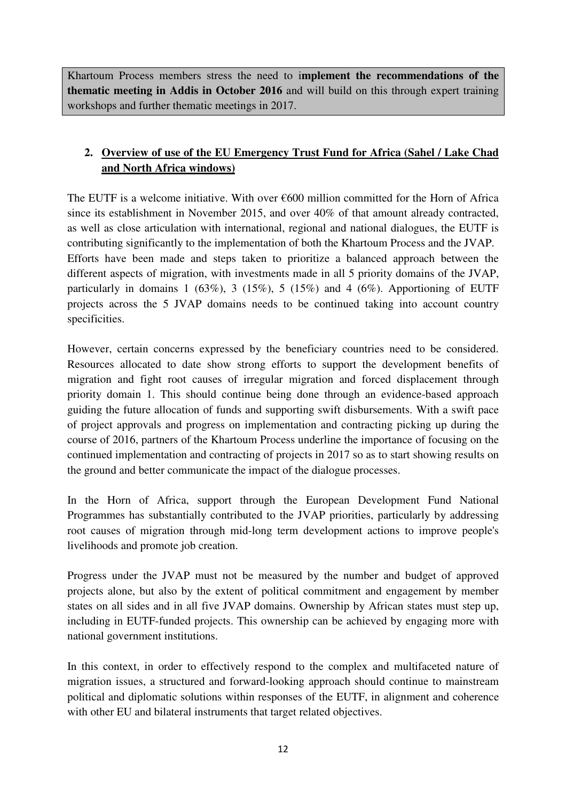Khartoum Process members stress the need to i**mplement the recommendations of the thematic meeting in Addis in October 2016** and will build on this through expert training workshops and further thematic meetings in 2017.

# **2. Overview of use of the EU Emergency Trust Fund for Africa (Sahel / Lake Chad and North Africa windows)**

The EUTF is a welcome initiative. With over  $\epsilon$ 600 million committed for the Horn of Africa since its establishment in November 2015, and over 40% of that amount already contracted, as well as close articulation with international, regional and national dialogues, the EUTF is contributing significantly to the implementation of both the Khartoum Process and the JVAP. Efforts have been made and steps taken to prioritize a balanced approach between the different aspects of migration, with investments made in all 5 priority domains of the JVAP, particularly in domains 1 (63%), 3 (15%), 5 (15%) and 4 (6%). Apportioning of EUTF projects across the 5 JVAP domains needs to be continued taking into account country specificities.

However, certain concerns expressed by the beneficiary countries need to be considered. Resources allocated to date show strong efforts to support the development benefits of migration and fight root causes of irregular migration and forced displacement through priority domain 1. This should continue being done through an evidence-based approach guiding the future allocation of funds and supporting swift disbursements. With a swift pace of project approvals and progress on implementation and contracting picking up during the course of 2016, partners of the Khartoum Process underline the importance of focusing on the continued implementation and contracting of projects in 2017 so as to start showing results on the ground and better communicate the impact of the dialogue processes.

In the Horn of Africa, support through the European Development Fund National Programmes has substantially contributed to the JVAP priorities, particularly by addressing root causes of migration through mid-long term development actions to improve people's livelihoods and promote job creation.

Progress under the JVAP must not be measured by the number and budget of approved projects alone, but also by the extent of political commitment and engagement by member states on all sides and in all five JVAP domains. Ownership by African states must step up, including in EUTF-funded projects. This ownership can be achieved by engaging more with national government institutions.

In this context, in order to effectively respond to the complex and multifaceted nature of migration issues, a structured and forward-looking approach should continue to mainstream political and diplomatic solutions within responses of the EUTF, in alignment and coherence with other EU and bilateral instruments that target related objectives.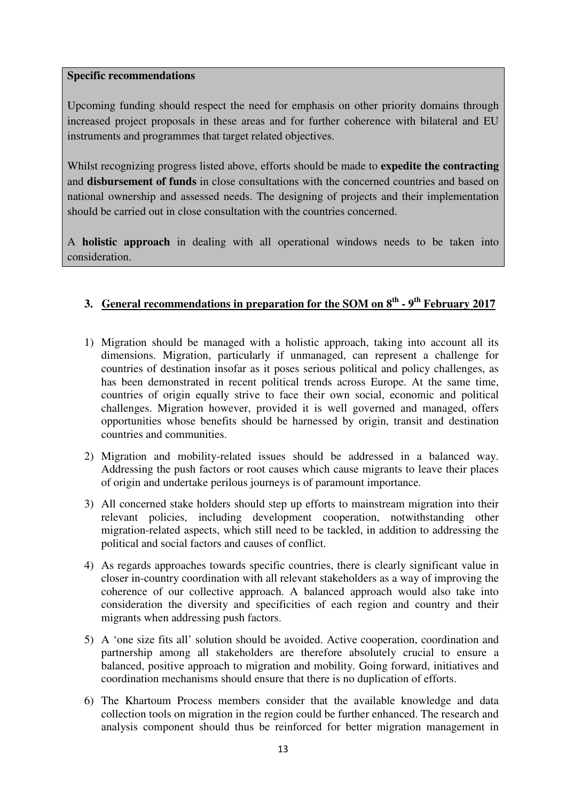#### **Specific recommendations**

Upcoming funding should respect the need for emphasis on other priority domains through increased project proposals in these areas and for further coherence with bilateral and EU instruments and programmes that target related objectives.

Whilst recognizing progress listed above, efforts should be made to **expedite the contracting**  and **disbursement of funds** in close consultations with the concerned countries and based on national ownership and assessed needs. The designing of projects and their implementation should be carried out in close consultation with the countries concerned.

A **holistic approach** in dealing with all operational windows needs to be taken into consideration.

# **3. General recommendations in preparation for the SOM on 8th - 9th February 2017**

- 1) Migration should be managed with a holistic approach, taking into account all its dimensions. Migration, particularly if unmanaged, can represent a challenge for countries of destination insofar as it poses serious political and policy challenges, as has been demonstrated in recent political trends across Europe. At the same time, countries of origin equally strive to face their own social, economic and political challenges. Migration however, provided it is well governed and managed, offers opportunities whose benefits should be harnessed by origin, transit and destination countries and communities.
- 2) Migration and mobility-related issues should be addressed in a balanced way. Addressing the push factors or root causes which cause migrants to leave their places of origin and undertake perilous journeys is of paramount importance.
- 3) All concerned stake holders should step up efforts to mainstream migration into their relevant policies, including development cooperation, notwithstanding other migration-related aspects, which still need to be tackled, in addition to addressing the political and social factors and causes of conflict.
- 4) As regards approaches towards specific countries, there is clearly significant value in closer in-country coordination with all relevant stakeholders as a way of improving the coherence of our collective approach. A balanced approach would also take into consideration the diversity and specificities of each region and country and their migrants when addressing push factors.
- 5) A 'one size fits all' solution should be avoided. Active cooperation, coordination and partnership among all stakeholders are therefore absolutely crucial to ensure a balanced, positive approach to migration and mobility. Going forward, initiatives and coordination mechanisms should ensure that there is no duplication of efforts.
- 6) The Khartoum Process members consider that the available knowledge and data collection tools on migration in the region could be further enhanced. The research and analysis component should thus be reinforced for better migration management in